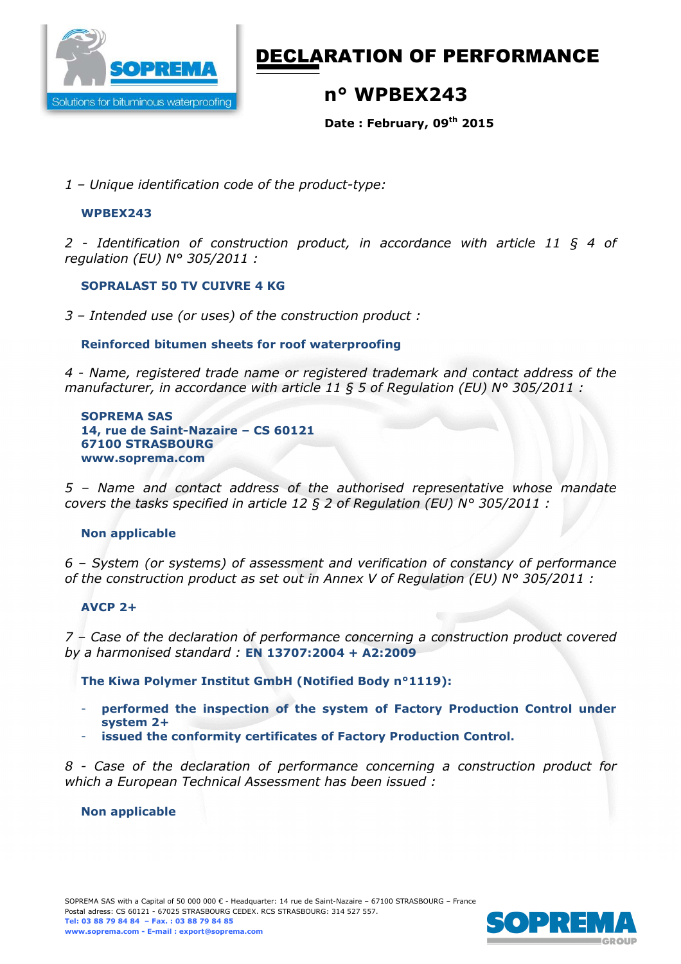

# DECLARATION OF PERFORMANCE

## **n° WPBEX243**

**Date : February, 09th 2015** 

*1 – Unique identification code of the product-type:*

#### **WPBEX243**

*2 - Identification of construction product, in accordance with article 11 § 4 of regulation (EU) N° 305/2011 :* 

### **SOPRALAST 50 TV CUIVRE 4 KG**

*3 – Intended use (or uses) of the construction product :* 

### **Reinforced bitumen sheets for roof waterproofing**

*4 - Name, registered trade name or registered trademark and contact address of the manufacturer, in accordance with article 11 § 5 of Regulation (EU) N° 305/2011 :* 

**SOPREMA SAS 14, rue de Saint-Nazaire – CS 60121 67100 STRASBOURG www.soprema.com** 

*5 – Name and contact address of the authorised representative whose mandate covers the tasks specified in article 12 § 2 of Regulation (EU) N° 305/2011 :* 

#### **Non applicable**

*6 – System (or systems) of assessment and verification of constancy of performance of the construction product as set out in Annex V of Regulation (EU) N° 305/2011 :* 

#### **AVCP 2+**

*7 – Case of the declaration of performance concerning a construction product covered by a harmonised standard :* **EN 13707:2004 + A2:2009**

**The Kiwa Polymer Institut GmbH (Notified Body n°1119):** 

- **performed the inspection of the system of Factory Production Control under system 2+**
- **issued the conformity certificates of Factory Production Control.**

*8 - Case of the declaration of performance concerning a construction product for which a European Technical Assessment has been issued :* 

#### **Non applicable**